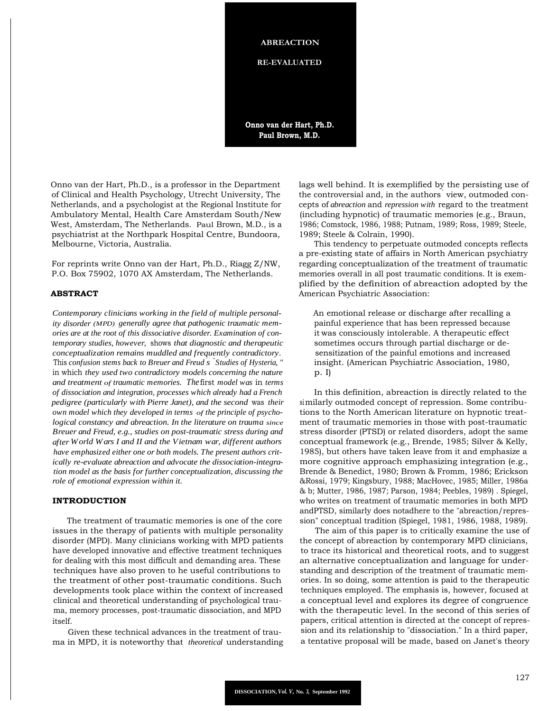**ABREACTION**

**RE-EVALUATED**

**Onno van der Hart, Ph.D. Paul Brown, M.D.**

Onno van der Hart, Ph.D., is a professor in the Department of Clinical and Health Psychology, Utrecht University, The Netherlands, and a psychologist at the Regional Institute for Ambulatory Mental, Health Care Amsterdam South/New West, Amsterdam, The Netherlands. Paul Brown, M.D., is a psychiatrist at the Northpark Hospital Centre, Bundoora, Melbourne, Victoria, Australia.

For reprints write Onno van der Hart, Ph.D., Riagg Z/NW, P.O. Box 75902, 1070 AX Amsterdam, The Netherlands.

## **ABSTRACT**

*Contemporary clinicians working in the field of multiple personality disorder (MPD) generally agree that pathogenic traumatic memories are at the root of this dissociative disorder. Examination of contemporary studies, however,* shows *that diagnostic and therapeutic conceptualization remains muddled and frequently contradictory.* This *confusion stems back to Breuer and Freud* ' *s* " *Studies of Hysteria, "* in which *they used two contradictory models concerning the nature and treatment of traumatic memories. The*first *model was* in *terms of dissociation and integration, processes which already had a French pedigree (particularly with Pierre Janet), and the second* was *their own model which they developed in terms of the principle of psychological constancy and abreaction. In the literature on trauma since Breuer and Freud, e.g., studies on post-traumatic stress during and after World Wars I and II and the Vietnam war, different authors have emphasized either one or both models. The present authors critically re-evaluate abreaction and advocate the dissociation-integration model as the basis for further conceptualization, discussing the role of emotional expression within it.*

# **INTRODUCTION**

The treatment of traumatic memories is one of the core issues in the therapy of patients with multiple personality disorder (MPD). Many clinicians working with MPD patients have developed innovative and effective treatment techniques for dealing with this most difficult and demanding area. These techniques have also proven to he useful contributions to the treatment of other post-traumatic conditions. Such developments took place within the context of increased clinical and theoretical understanding of psychological trauma, memory processes, post-traumatic dissociation, and MPD itself.

Given these technical advances in the treatment of trauma in MPD, it is noteworthy that *theoretical* understanding lags well behind. It is exemplified by the persisting use of the controversial and, in the authors' view, outmoded concepts of *abreaction* and *repression with* regard to the treatment (including hypnotic) of traumatic memories (e.g., Braun, 1986; Comstock, 1986, 1988; Putnam, 1989; Ross, 1989; Steele, 1989; Steele & Colrain, 1990).

This tendency to perpetuate outmoded concepts reflects a pre-existing state of affairs in North American psychiatry regarding conceptualization of the treatment of traumatic memories overall in all post traumatic conditions. It is exemplified by the definition of abreaction adopted by the American Psychiatric Association:

An emotional release or discharge after recalling a painful experience that has been repressed because it was consciously intolerable. A therapeutic effect sometimes occurs through partial discharge or desensitization of the painful emotions and increased insight. (American Psychiatric Association, 1980, p. I)

In this definition, abreaction is directly related to the similarly outmoded concept of repression. Some contributions to the North American literature on hypnotic treatment of traumatic memories in those with post-traumatic stress disorder (PTSD) or related disorders, adopt the same conceptual framework (e.g., Brende, 1985; Silver & Kelly, 1985), but others have taken leave from it and emphasize a more cognitive approach emphasizing integration (e.g., Brende & Benedict, 1980; Brown & Fromm, 1986; Erickson &Rossi, 1979; Kingsbury, 1988; MacHovec, 1985; Miller, 1986a & b; Mutter, 1986, 1987; Parson, 1984; Peebles, 1989) . Spiegel, who writes on treatment of traumatic memories in both MPD andPTSD, similarly does notadhere to the "abreaction/repression" conceptual tradition (Spiegel, 1981, 1986, 1988, 1989).

The aim of this paper is to critically examine the use of the concept of abreaction by contemporary MPD clinicians, to trace its historical and theoretical roots, and to suggest an alternative conceptualization and language for understanding and description of the treatment of traumatic memories. In so doing, some attention is paid to the therapeutic techniques employed. The emphasis is, however, focused at a conceptual level and explores its degree of congruence with the therapeutic level. In the second of this series of papers, critical attention is directed at the concept of repression and its relationship to "dissociation." In a third paper, a tentative proposal will be made, based on Janet's theory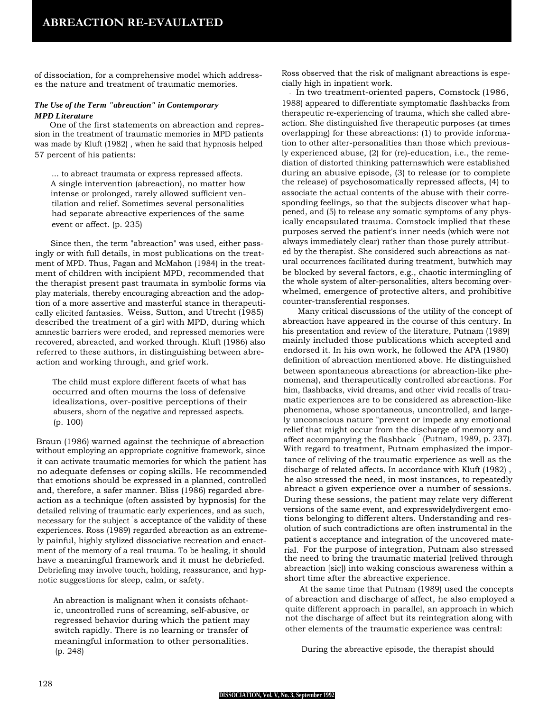of dissociation, for a comprehensive model which addresses the nature and treatment of traumatic memories.

# *The Use of the Term "abreaction" in Contemporary MPD Literature*

One of the first statements on abreaction and repression in the treatment of traumatic memories in MPD patients was made by Kluft (1982) , when he said that hypnosis helped 57 percent of his patients:

... to abreact traumata or express repressed affects. A single intervention (abreaction), no matter how intense or prolonged, rarely allowed sufficient ventilation and relief. Sometimes several personalities had separate abreactive experiences of the same event or affect. (p. 235)

Since then, the term "abreaction" was used, either passingly or with full details, in most publications on the treatment of MPD. Thus, Fagan and McMahon (1984) in the treatment of children with incipient MPD, recommended that the therapist present past traumata in symbolic forms via play materials, thereby encouraging abreaction and the adoption of a more assertive and masterful stance in therapeutically elicited fantasies. Weiss, Sutton, and Utrecht (1985) described the treatment of a girl with MPD, during which amnestic barriers were eroded, and repressed memories were recovered, abreacted, and worked through. Kluft (1986) also referred to these authors, in distinguishing between abreaction and working through, and grief work.

The child must explore different facets of what has occurred and often mourns the loss of defensive idealizations, over-positive perceptions of their abusers, shorn of the negative and repressed aspects. (p. 100)

Braun (1986) warned against the technique of abreaction without employing an appropriate cognitive framework, since it can activate traumatic memories for which the patient has no adequate defenses or coping skills. He recommended that emotions should be expressed in a planned, controlled and, therefore, a safer manner. Bliss (1986) regarded abreaction as a technique (often assisted by hypnosis) for the detailed reliving of traumatic early experiences, and as such, necessary for the subject ' s acceptance of the validity of these experiences. Ross (1989) regarded abreaction as an extremely painful, highly stylized dissociative recreation and enactment of the memory of a real trauma. To be healing, it should have a meaningful framework and it must he debriefed. Debriefing may involve touch, holding, reassurance, and hypnotic suggestions for sleep, calm, or safety.

An abreaction is malignant when it consists ofchaotic, uncontrolled runs of screaming, self-abusive, or regressed behavior during which the patient may switch rapidly. There is no learning or transfer of meaningful information to other personalities. (p. 248)

Ross observed that the risk of malignant abreactions is especially high in inpatient work.

In two treatment-oriented papers, Comstock (1986, 1988) appeared to differentiate symptomatic flashbacks from therapeutic re-experiencing of trauma, which she called abreaction. She distinguished five therapeutic purposes (at times overlapping) for these abreactions: (1) to provide information to other alter-personalities than those which previously experienced abuse, (2) for (re)-education, i.e., the remediation of distorted thinking patternswhich were established during an abusive episode, (3) to release (or to complete the release) of psychosomatically repressed affects, (4) to associate the actual contents of the abuse with their corresponding feelings, so that the subjects discover what happened, and (5) to release any somatic symptoms of any physically encapsulated trauma. Comstock implied that these purposes served the patient's inner needs (which were not always immediately clear) rather than those purely attributed by the therapist. She considered such abreactions as natural occurrences facilitated during treatment, butwhich may be blocked by several factors, e.g., chaotic intermingling of the whole system of alter-personalities, alters becoming overwhelmed, emergence of protective alters, and prohibitive counter-transferential responses.

Many critical discussions of the utility of the concept of abreaction have appeared in the course of this century. In his presentation and review of the literature, Putnam (1989) mainly included those publications which accepted and endorsed it. In his own work, he followed the APA (1980) definition of abreaction mentioned above. He distinguished between spontaneous abreactions (or abreaction-like phenomena), and therapeutically controlled abreactions. For him, flashbacks, vivid dreams, and other vivid recalls of traumatic experiences are to be considered as abreaction-like phenomena, whose spontaneous, uncontrolled, and largely unconscious nature "prevent or impede any emotional relief that might occur from the discharge of memory and affect accompanying the flashback " (Putnam, 1989, p. 237). With regard to treatment, Putnam emphasized the importance of reliving of the traumatic experience as well as the discharge of related affects. In accordance with Kluft (1982) , he also stressed the need, in most instances, to repeatedly abreact a given experience over a number of sessions. During these sessions, the patient may relate very different versions of the same event, and expresswidelydivergent emotions belonging to different alters. Understanding and resolution of such contradictions are often instrumental in the patient's acceptance and integration of the uncovered material. For the purpose of integration, Putnam also stressed the need to bring the traumatic material (relived through abreaction [sic]) into waking conscious awareness within a short time after the abreactive experience.

At the same time that Putnam (1989) used the concepts of abreaction and discharge of affect, he also employed a quite different approach in parallel, an approach in which not the discharge of affect but its reintegration along with other elements of the traumatic experience was central:

During the abreactive episode, the therapist should

#### **DISSOCIATION, Vol. V, No. 3, September 1992**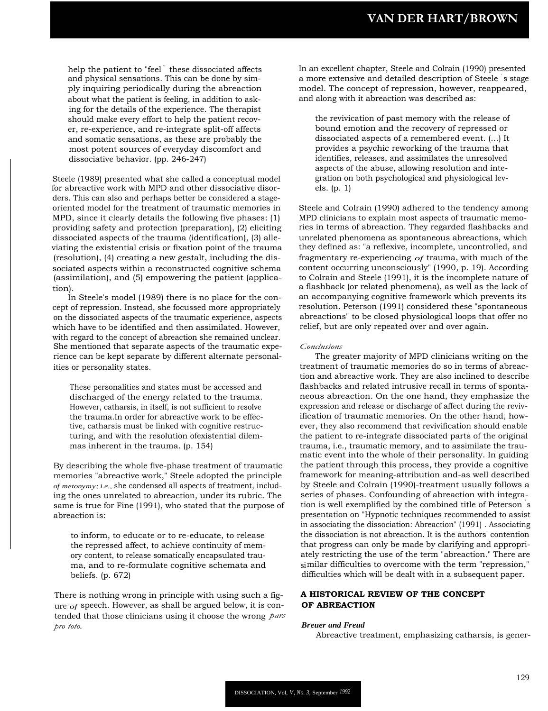help the patient to "feel<sup>"</sup> these dissociated affects and physical sensations. This can be done by simply inquiring periodically during the abreaction about what the patient is feeling, in addition to asking for the details of the experience. The therapist should make every effort to help the patient recover, re-experience, and re-integrate split-off affects and somatic sensations, as these are probably the most potent sources of everyday discomfort and dissociative behavior. (pp. 246-247)

Steele (1989) presented what she called a conceptual model for abreactive work with MPD and other dissociative disorders. This can also and perhaps better be considered a stageoriented model for the treatment of traumatic memories in MPD, since it clearly details the following five phases: (1) providing safety and protection (preparation), (2) eliciting dissociated aspects of the trauma (identification), (3) alleviating the existential crisis or fixation point of the trauma (resolution), (4) creating a new gestalt, including the dissociated aspects within a reconstructed cognitive schema (assimilation), and (5) empowering the patient (application).

In Steele's model (1989) there is no place for the concept of repression. Instead, she focussed more appropriately on the dissociated aspects of the traumatic experience, aspects which have to be identified and then assimilated. However, with regard to the concept of abreaction she remained unclear. She mentioned that separate aspects of the traumatic experience can be kept separate by different alternate personalities or personality states.

These personalities and states must be accessed and discharged of the energy related to the trauma. However, catharsis, in itself, is not sufficient to resolve the trauma.In order for abreactive work to be effective, catharsis must be linked with cognitive restructuring, and with the resolution ofexistential dilemmas inherent in the trauma. (p. 154)

By describing the whole five-phase treatment of traumatic memories "abreactive work," Steele adopted the principle *of metonymy; i.e.,* she condensed all aspects of treatment, including the ones unrelated to abreaction, under its rubric. The same is true for Fine (1991), who stated that the purpose of abreaction is:

to inform, to educate or to re-educate, to release the repressed affect, to achieve continuity of memory content, to release somatically encapsulated trauma, and to re-formulate cognitive schemata and beliefs. (p. 672)

There is nothing wrong in principle with using such a figure *of* speech. However, as shall be argued below, it is contended that those clinicians using it choose the wrong *pars pro toto.*

In an excellent chapter, Steele and Colrain (1990) presented a more extensive and detailed description of Steele ' s stage model. The concept of repression, however, reappeared, and along with it abreaction was described as:

the revivication of past memory with the release of bound emotion and the recovery of repressed or dissociated aspects of a remembered event. (...) It provides a psychic reworking of the trauma that identifies, releases, and assimilates the unresolved aspects of the abuse, allowing resolution and integration on both psychological and physiological levels. (p. 1)

Steele and Colrain (1990) adhered to the tendency among MPD clinicians to explain most aspects of traumatic memories in terms of abreaction. They regarded flashbacks and unrelated phenomena as spontaneous abreactions, which they defined as: "a reflexive, incomplete, uncontrolled, and fragmentary re-experiencing *of* trauma, with much of the content occurring unconsciously" (1990, p. 19). According to Colrain and Steele (1991), it is the incomplete nature of a flashback (or related phenomena), as well as the lack of an accompanying cognitive framework which prevents its resolution. Peterson (1991) considered these "spontaneous abreactions" to be closed physiological loops that offer no relief, but are only repeated over and over again.

## *Conclusions*

The greater majority of MPD clinicians writing on the treatment of traumatic memories do so in terms of abreaction and abreactive work. They are also inclined to describe flashbacks and related intrusive recall in terms of spontaneous abreaction. On the one hand, they emphasize the expression and release or discharge of affect during the revivification of traumatic memories. On the other hand, however, they also recommend that revivification should enable the patient to re-integrate dissociated parts of the original trauma, i.e., traumatic memory, and to assimilate the traumatic event into the whole of their personality. In guiding the patient through this process, they provide a cognitive framework for meaning-attribution and-as well described by Steele and Colrain (1990)-treatment usually follows a series of phases. Confounding of abreaction with integration is well exemplified by the combined title of Peterson s presentation on "Hypnotic techniques recommended to assist in associating the dissociation: Abreaction" (1991) . Associating the dissociation is not abreaction. It is the authors' contention that progress can only be made by clarifying and appropriately restricting the use of the term "abreaction." There are similar difficulties to overcome with the term "repression," difficulties which will be dealt with in a subsequent paper.

# **A HISTORICAL REVIEW OF THE CONCEPT OF ABREACTION**

## *Breuer and Freud*

Abreactive treatment, emphasizing catharsis, is gener-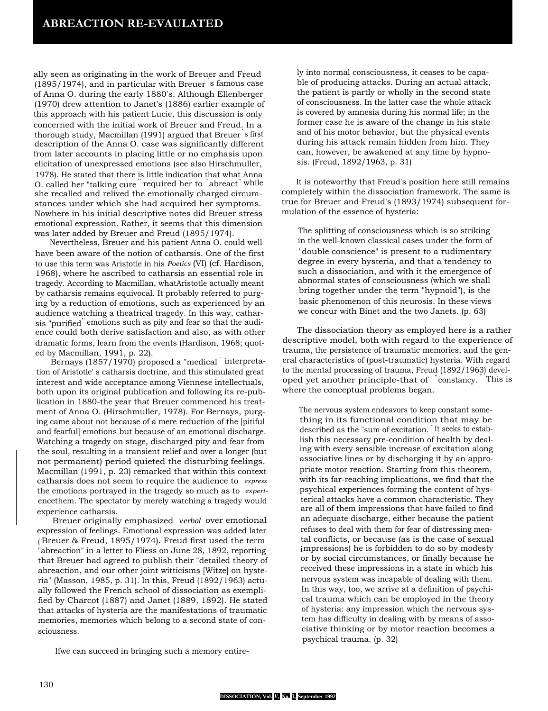ally seen as originating in the work of Breuer and Freud (1895/1974), and in particular with Breuer ' s famous case of Anna O. during the early 1880's. Although Ellenberger (1970) drew attention to Janet's (1886) earlier example of this approach with his patient Lucie, this discussion is only concerned with the initial work of Breuer and Freud. In a thorough study, Macmillan (1991) argued that Breuer ' s first description of the Anna O. case was significantly different from later accounts in placing little or no emphasis upon elicitation of unexpressed emotions (see also Hirschmuller, 1978). He stated that there is little indication that what Anna O. called her "talking cure " required her to " abreact" while she recalled and relived the emotionally charged circumstances under which she had acquired her symptoms. Nowhere in his initial descriptive notes did Breuer stress emotional expression. Rather, it seems that this dimension was later added by Breuer and Freud (1895/1974).

Nevertheless, Breuer and his patient Anna O. could well have been aware of the notion of catharsis. One of the first to use this term was Aristotle in his *Poetics* (VI) (cf. Hardison, 1968), where he ascribed to catharsis an essential role in tragedy. According to Macmillan, whatAristotle actually meant by catharsis remains equivocal. It probably referred to purging by a reduction of emotions, such as experienced by an audience watching a theatrical tragedy. In this way, catharsis "purified" emotions such as pity and fear so that the audience could both derive satisfaction and also, as with other dramatic forms, learn from the events (Hardison, 1968; quoted by Macmillan, 1991, p. 22).

Bernays (1857/1970) proposed a "medical " interpretation of Aristotle' s catharsis doctrine, and this stimulated great interest and wide acceptance among Viennese intellectuals, both upon its original publication and following its re-publication in 1880-the year that Breuer commenced his treatment of Anna O. (Hirschmuller, 1978). For Bernays, purging came about not because of a mere reduction of the [pitiful and fearful] emotions but because of an emotional discharge. Watching a tragedy on stage, discharged pity and fear from the soul, resulting in a transient relief and over a longer (but not permanent) period quieted the disturbing feelings. Macmillan (1991, p. 23) remarked that within this context catharsis does not seem to require the audience to *express* the emotions portrayed in the tragedy so much as to *experi*encethem. The spectator by merely watching a tragedy would experience catharsis.

Breuer originally emphasized *verbal* over emotional expression of feelings. Emotional expression was added later ( Breuer & Freud, 1895/1974). Freud first used the term "abreaction" in a letter to Fliess on June 28, 1892, reporting that Breuer had agreed to publish their "detailed theory of abreaction, and our other joint witticisms [Witze] on hysteria" (Masson, 1985, p. 31). In this, Freud (1892/1963) actually followed the French school of dissociation as exemplified by Charcot (1887) and Janet (1889, 1892). He stated that attacks of hysteria are the manifestations of traumatic memories, memories which belong to a second state of consciousness.

Ifwe can succeed in bringing such a memory entire-

ly into normal consciousness, it ceases to be capable of producing attacks. During an actual attack, the patient is partly or wholly in the second state of consciousness. In the latter case the whole attack is covered by amnesia during his normal life; in the former case he is aware of the change in his state and of his motor behavior, but the physical events during his attack remain hidden from him. They can, however, be awakened at any time by hypnosis. (Freud, 1892/1963, p. 31)

It is noteworthy that Freud's position here still remains completely within the dissociation framework. The same is true for Breuer and Freud's (1893/1974) subsequent formulation of the essence of hysteria:

The splitting of consciousness which is so striking in the well-known classical cases under the form of "double conscience" is present to a rudimentary degree in every hysteria, and that a tendency to such a dissociation, and with it the emergence of abnormal states of consciousness (which we shall bring together under the term "hypnoid"), is the basic phenomenon of this neurosis. In these views we concur with Binet and the two Janets. (p. 63)

The dissociation theory as employed here is a rather descriptive model, both with regard to the experience of trauma, the persistence of traumatic memories, and the general characteristics of (post-traumatic) hysteria. With regard to the mental processing of trauma, Freud (1892/1963) developed yet another principle-that of " constancy. " This is where the conceptual problems began.

The nervous system endeavors to keep constant something in its functional condition that may be described as the "sum of excitation. " It seeks to establish this necessary pre-condition of health by dealing with every sensible increase of excitation along associative lines or by discharging it by an appropriate motor reaction. Starting from this theorem, with its far-reaching implications, we find that the psychical experiences forming the content of hysterical attacks have a common characteristic. They are all of them impressions that have failed to find an adequate discharge, either because the patient refuses to deal with them for fear of distressing mental conflicts, or because (as is the case of sexual impressions) he is forbidden to do so by modesty or by social circumstances, or finally because he received these impressions in a state in which his nervous system was incapable of dealing with them. In this way, too, we arrive at a definition of psychical trauma which can be employed in the theory of hysteria: any impression which the nervous system has difficulty in dealing with by means of associative thinking or by motor reaction becomes a psychical trauma. (p. 32)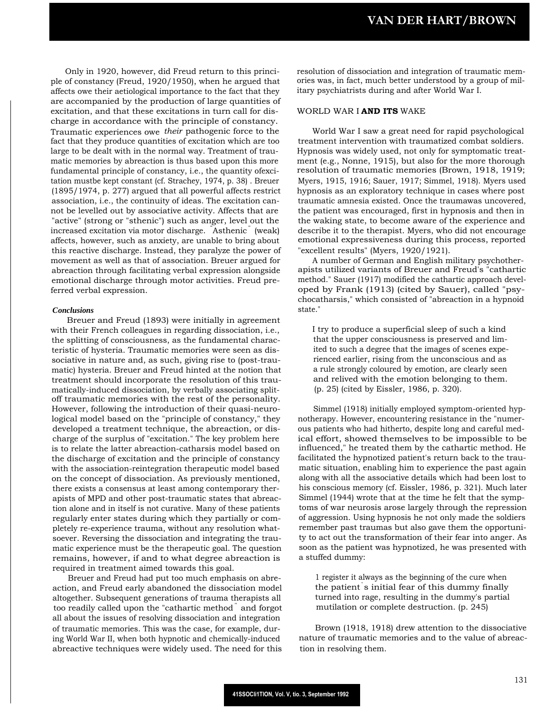Only in 1920, however, did Freud return to this principle of constancy (Freud, 1920/1950), when he argued that affects owe their aetiological importance to the fact that they are accompanied by the production of large quantities of excitation, and that these excitations in turn call for discharge in accordance with the principle of constancy. Traumatic experiences owe *their* pathogenic force to the fact that they produce quantities of excitation which are too large to be dealt with in the normal way. Treatment of traumatic memories by abreaction is thus based upon this more fundamental principle of constancy, i.e., the quantity ofexcitation mustbe kept constant (cf. Strachey, 1974, p. 38) . Breuer (1895/1974, p. 277) argued that all powerful affects restrict association, i.e., the continuity of ideas. The excitation cannot be levelled out by associative activity. Affects that are "active" (strong or "sthenic") such as anger, level out the increased excitation via motor discharge. "Asthenic " (weak) affects, however, such as anxiety, are unable to bring about this reactive discharge. Instead, they paralyze the power of movement as well as that of association. Breuer argued for abreaction through facilitating verbal expression alongside emotional discharge through motor activities. Freud preferred verbal expression.

#### *Conclusions*

Breuer and Freud (1893) were initially in agreement with their French colleagues in regarding dissociation, i.e., the splitting of consciousness, as the fundamental characteristic of hysteria. Traumatic memories were seen as dissociative in nature and, as such, giving rise to (post-traumatic) hysteria. Breuer and Freud hinted at the notion that treatment should incorporate the resolution of this traumatically-induced dissociation, by verbally associating splitoff traumatic memories with the rest of the personality. However, following the introduction of their quasi-neurological model based on the "principle of constancy," they developed a treatment technique, the abreaction, or discharge of the surplus of "excitation." The key problem here is to relate the latter abreaction-catharsis model based on the discharge of excitation and the principle of constancy with the association-reintegration therapeutic model based on the concept of dissociation. As previously mentioned, there exists a consensus at least among contemporary therapists of MPD and other post-traumatic states that abreaction alone and in itself is not curative. Many of these patients regularly enter states during which they partially or completely re-experience trauma, without any resolution whatsoever. Reversing the dissociation and integrating the traumatic experience must be the therapeutic goal. The question remains, however, if and to what degree abreaction is required in treatment aimed towards this goal.

Breuer and Freud had put too much emphasis on abreaction, and Freud early abandoned the dissociation model altogether. Subsequent generations of trauma therapists all too readily called upon the "cathartic method " and forgot all about the issues of resolving dissociation and integration of traumatic memories. This was the case, for example, during World War II, when both hypnotic and chemically-induced abreactive techniques were widely used. The need for this resolution of dissociation and integration of traumatic memories was, in fact, much better understood by a group of military psychiatrists during and after World War I.

## WORLD WAR I **AND ITS** WAKE

World War I saw a great need for rapid psychological treatment intervention with traumatized combat soldiers. Hypnosis was widely used, not only for symptomatic treatment (e.g., Nonne, 1915), but also for the more thorough resolution of traumatic memories (Brown, 1918, 1919; Myers, 1915, 1916; Sauer, 1917; Simmel, 1918). Myers used hypnosis as an exploratory technique in cases where post traumatic amnesia existed. Once the traumawas uncovered, the patient was encouraged, first in hypnosis and then in the waking state, to become aware of the experience and describe it to the therapist. Myers, who did not encourage emotional expressiveness during this process, reported "excellent results" (Myers, 1920/1921).

A number of German and English military psychotherapists utilized variants of Breuer and Freud's "cathartic method." Sauer (1917) modified the cathartic approach developed by Frank (1913) (cited by Sauer), called "psychocatharsis," which consisted of "abreaction in a hypnoid state."

I try to produce a superficial sleep of such a kind that the upper consciousness is preserved and limited to such a degree that the images of scenes experienced earlier, rising from the unconscious and as a rule strongly coloured by emotion, are clearly seen and relived with the emotion belonging to them. (p. 25) (cited by Eissler, 1986, p. 320).

Simmel (1918) initially employed symptom-oriented hypnotherapy. However, encountering resistance in the "numerous patients who had hitherto, despite long and careful medical effort, showed themselves to be impossible to be influenced," he treated them by the cathartic method. He facilitated the hypnotized patient's return back to the traumatic situation, enabling him to experience the past again along with all the associative details which had been lost to his conscious memory (cf. Eissler, 1986, p. 321). Much later Simmel (1944) wrote that at the time he felt that the symptoms of war neurosis arose largely through the repression of aggression. Using hypnosis he not only made the soldiers remember past traumas but also gave them the opportunity to act out the transformation of their fear into anger. As soon as the patient was hypnotized, he was presented with a stuffed dummy:

1 register it always as the beginning of the cure when the patient' s initial fear of this dummy finally turned into rage, resulting in the dummy's partial mutilation or complete destruction. (p. 245)

Brown (1918, 1918) drew attention to the dissociative nature of traumatic memories and to the value of abreaction in resolving them.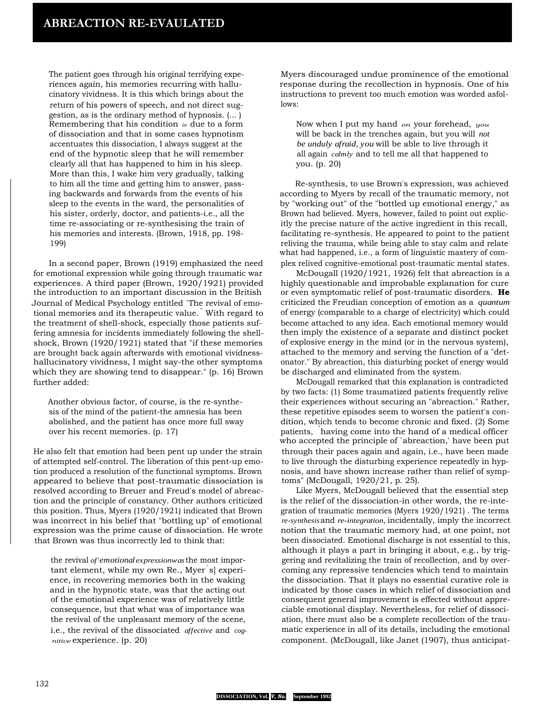The patient goes through his original terrifying experiences again, his memories recurring with hallucinatory vividness. It is this which brings about the return of his powers of speech, and not direct suggestion, as is the ordinary method of hypnosis. (... ) Remembering that his condition *is* due to a form of dissociation and that in some cases hypnotism accentuates this dissociation, I always suggest at the end of the hypnotic sleep that he will remember clearly all that has happened to him in his sleep. More than this, I wake him very gradually, talking to him all the time and getting him to answer, passing backwards and forwards from the events of his sleep to the events in the ward, the personalities of his sister, orderly, doctor, and patients-i.e., all the time re-associating or re-synthesising the train of his memories and interests. (Brown, 1918, pp. 198- 199)

In a second paper, Brown (1919) emphasized the need for emotional expression while going through traumatic war experiences. A third paper (Brown, 1920/1921) provided the introduction to an important discussion in the British Journal of Medical Psychology entitled `The revival of emotional memories and its therapeutic value. " With regard to the treatment of shell-shock, especially those patients suffering amnesia for incidents immediately following the shellshock, Brown (1920/1921) stated that "if these memories are brought back again afterwards with emotional vividnesshallucinatory vividness, I might say-the other symptoms which they are showing tend to disappear." (p. 16) Brown further added:

Another obvious factor, of course, is the re-synthesis of the mind of the patient-the amnesia has been abolished, and the patient has once more full sway over his recent memories. (p. 17)

He also felt that emotion had been pent up under the strain of attempted self-control. The liberation of this pent-up emotion produced a resolution of the functional symptoms. Brown appeared to believe that post-traumatic dissociation is resolved according to Breuer and Freud's model of abreaction and the principle of constancy. Other authors criticized this position. Thus, Myers (1920/1921) indicated that Brown was incorrect in his belief that "bottling up" of emotional expression was the prime cause of dissociation. He wrote that Brown was thus incorrectly led to think that:

the revival *of'emotional expressionwas*the most important element, while my own Re., Myer ' s] experience, in recovering memories both in the waking and in the hypnotic state, was that the acting out of the emotional experience was of relatively little consequence, but that what was of importance was the revival of the unpleasant memory of the scene, i.e., the revival of the dissociated *affective* and *cognitive* experience. (p. 20)

Myers discouraged undue prominence of the emotional response during the recollection in hypnosis. One of his instructions to prevent too much emotion was worded asfollows:

Now when I put my hand *on* your forehead, *you* will be back in the trenches again, but you will *not be unduly afraid, you* will be able to live through it all again *calmly* and to tell me all that happened to you. (p. 20)

Re-synthesis, to use Brown's expression, was achieved according to Myers by recall of the traumatic memory, not by "working out" of the "bottled up emotional energy," as Brown had believed. Myers, however, failed to point out explicitly the precise nature of the active ingredient in this recall, facilitating re-synthesis. He appeared to point to the patient reliving the trauma, while being able to stay calm and relate what had happened, i.e., a form of linguistic mastery of complex relived cognitive-emotional post-traumatic mental states.

McDougall (1920/1921, 1926) felt that abreaction is a highly questionable and improbable explanation for cure or even symptomatic relief of post-traumatic disorders. **He** criticized the Freudian conception of emotion as a *quantum* of energy (comparable to a charge of electricity) which could become attached to any idea. Each emotional memory would then imply the existence of a separate and distinct pocket of explosive energy in the mind (or in the nervous system), attached to the memory and serving the function of a "detonator." By abreaction, this disturbing pocket of energy would be discharged and eliminated from the system.

McDougall remarked that this explanation is contradicted by two facts: (1) Some traumatized patients frequently relive their experiences without securing an "abreaction." Rather, these repetitive episodes seem to worsen the patient's condition, which tends to become chronic and fixed. (2) Some patients, " having come into the hand of a medical officer who accepted the principle of `abreaction,' have been put through their paces again and again, i.e., have been made to live through the disturbing experience repeatedly in hypnosis, and have shown increase rather than relief of symptoms" (McDougall, 1920/21, p. 25).

Like Myers, McDougall believed that the essential step is the relief of the dissociation-in other words, the re-integration of traumatic memories (Myers 1920/1921) . The terms *re-synthesis*and *re-integration,* incidentally, imply the incorrect notion that the traumatic memory had, at one point, not been dissociated. Emotional discharge is not essential to this, although it plays a part in bringing it about, e.g., by triggering and revitalizing the train of recollection, and by overcoming any repressive tendencies which tend to maintain the dissociation. That it plays no essential curative role is indicated by those cases in which relief of dissociation and consequent general improvement is effected without appreciable emotional display. Nevertheless, for relief of dissociation, there must also be a complete recollection of the traumatic experience in all of its details, including the emotional component. (McDougall, like Janet (1907), thus anticipat-

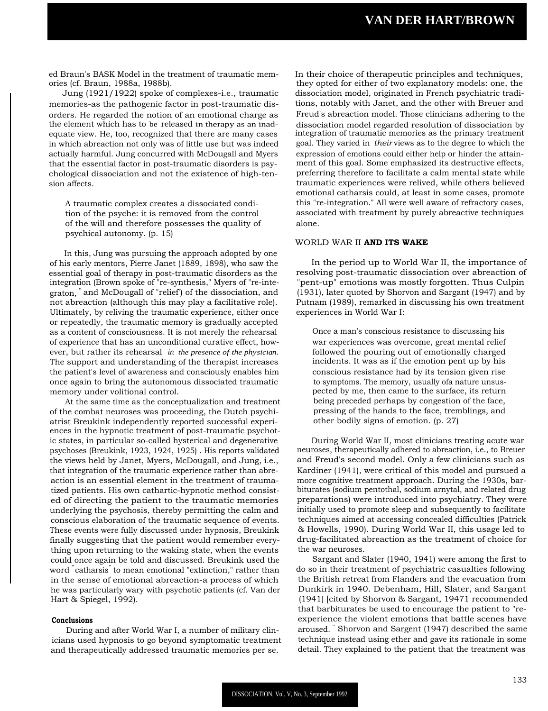ed Braun's BASK Model in the treatment of traumatic memories (cf. Braun, 1988a, 1988b).

Jung (1921/1922) spoke of complexes-i.e., traumatic memories-as the pathogenic factor in post-traumatic disorders. He regarded the notion of an emotional charge as the element which has to be released in therapy as an inadequate view. He, too, recognized that there are many cases in which abreaction not only was of little use but was indeed actually harmful. Jung concurred with McDougall and Myers that the essential factor in post-traumatic disorders is psychological dissociation and not the existence of high-tension affects.

A traumatic complex creates a dissociated condition of the psyche: it is removed from the control of the will and therefore possesses the quality of psychical autonomy. (p. 15)

In this, Jung was pursuing the approach adopted by one of his early mentors, Pierre Janet (1889, 1898), who saw the essential goal of therapy in post-traumatic disorders as the integration (Brown spoke of "re-synthesis," Myers of "re-integraton, " and McDougall of "relief') of the dissociation, and not abreaction (although this may play a facilitative role). Ultimately, by reliving the traumatic experience, either once or repeatedly, the traumatic memory is gradually accepted as a content of consciousness. It is not merely the rehearsal of experience that has an unconditional curative effect, however, but rather its rehearsal *in the presence of the physician.* The support and understanding of the therapist increases the patient's level of awareness and consciously enables him once again to bring the autonomous dissociated traumatic memory under volitional control.

At the same time as the conceptualization and treatment of the combat neuroses was proceeding, the Dutch psychiatrist Breukink independently reported successful experiences in the hypnotic treatment of post-traumatic psychotic states, in particular so-called hysterical and degenerative psychoses (Breukink, 1923, 1924, 1925) . His reports validated the views held by Janet, Myers, McDougall, and Jung, i.e., that integration of the traumatic experience rather than abreaction is an essential element in the treatment of traumatized patients. His own cathartic-hypnotic method consisted of directing the patient to the traumatic memories underlying the psychosis, thereby permitting the calm and conscious elaboration of the traumatic sequence of events. These events were fully discussed under hypnosis, Breukink finally suggesting that the patient would remember everything upon returning to the waking state, when the events could once again be told and discussed. Breukink used the word " catharsis" to mean emotional "extinction," rather than in the sense of emotional abreaction-a process of which he was particularly wary with psychotic patients (cf. Van der Hart & Spiegel, 1992).

#### **Conclusions**

During and after World War I, a number of military clinicians used hypnosis to go beyond symptomatic treatment and therapeutically addressed traumatic memories per se.

In their choice of therapeutic principles and techniques, they opted for either of two explanatory models: one, the dissociation model, originated in French psychiatric traditions, notably with Janet, and the other with Breuer and Freud's abreaction model. Those clinicians adhering to the dissociation model regarded resolution of dissociation by integration of traumatic memories as the primary treatment goal. They varied in *their* views as to the degree to which the expression of emotions could either help or hinder the attainment of this goal. Some emphasized its destructive effects, preferring therefore to facilitate a calm mental state while traumatic experiences were relived, while others believed emotional catharsis could, at least in some cases, promote this "re-integration." All were well aware of refractory cases, associated with treatment by purely abreactive techniques alone.

#### WORLD WAR II **AND ITS WAKE**

In the period up to World War II, the importance of resolving post-traumatic dissociation over abreaction of "pent-up" emotions was mostly forgotten. Thus Culpin (1931), later quoted by Shorvon and Sargant (1947) and by Putnam (1989), remarked in discussing his own treatment experiences in World War I:

Once a man's conscious resistance to discussing his war experiences was overcome, great mental relief followed the pouring out of emotionally charged incidents. It was as if the emotion pent up by his conscious resistance had by its tension given rise to symptoms. The memory, usually ofa nature unsuspected by me, then came to the surface, its return being preceded perhaps by congestion of the face, pressing of the hands to the face, tremblings, and other bodily signs of emotion. (p. 27)

During World War II, most clinicians treating acute war neuroses, therapeutically adhered to abreaction, i.e., to Breuer and Freud's second model. Only a few clinicians such as Kardiner (1941), were critical of this model and pursued a more cognitive treatment approach. During the 1930s, barbiturates (sodium pentothal, sodium arnytal, and related drug preparations) were introduced into psychiatry. They were initially used to promote sleep and subsequently to facilitate techniques aimed at accessing concealed difficulties (Patrick & Howells, 1990). During World War II, this usage led to drug-facilitated abreaction as the treatment of choice for the war neuroses.

Sargant and Slater (1940, 1941) were among the first to do so in their treatment of psychiatric casualties following the British retreat from Flanders and the evacuation from Dunkirk in 1940. Debenham, Hill, Slater, and Sargant (1941) [cited by Shorvon & Sargant, 19471 recommended that barbiturates be used to encourage the patient to "reexperience the violent emotions that battle scenes have aroused. " Shorvon and Sargent (1947) described the same technique instead using ether and gave its rationale in some detail. They explained to the patient that the treatment was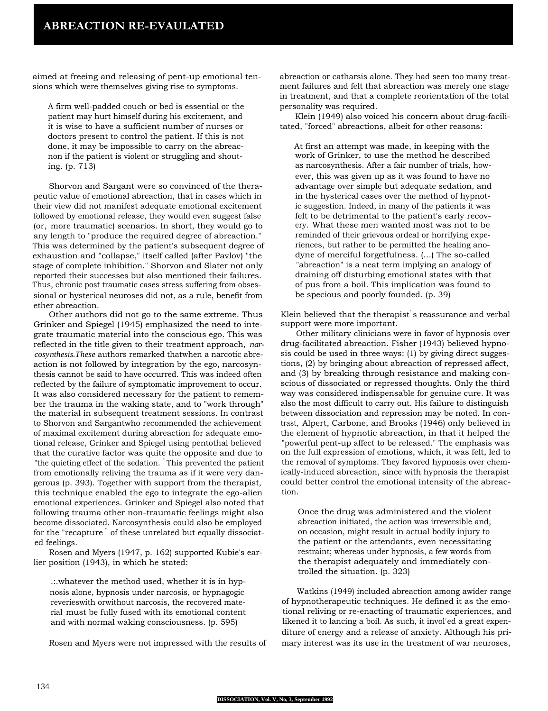aimed at freeing and releasing of pent-up emotional tensions which were themselves giving rise to symptoms.

A firm well-padded couch or bed is essential or the patient may hurt himself during his excitement, and it is wise to have a sufficient number of nurses or doctors present to control the patient. If this is not done, it may be impossible to carry on the abreacnon if the patient is violent or struggling and shouting. (p. 713)

Shorvon and Sargant were so convinced of the therapeutic value of emotional abreaction, that in cases which in their view did not manifest adequate emotional excitement followed by emotional release, they would even suggest false (or, more traumatic) scenarios. In short, they would go to any length to "produce the required degree of abreaction." This was determined by the patient's subsequent degree of exhaustion and "collapse," itself called (after Pavlov) "the stage of complete inhibition." Shorvon and Slater not only reported their successes but also mentioned their failures. Thus, chronic post traumatic cases stress suffering from obsessional or hysterical neuroses did not, as a rule, benefit from ether abreaction.

Other authors did not go to the same extreme. Thus Grinker and Spiegel (1945) emphasized the need to integrate traumatic material into the conscious ego. This was reflected in the title given to their treatment approach, *narcosynthesis.These* authors remarked thatwhen a narcotic abreaction is not followed by integration by the ego, narcosynthesis cannot be said to have occurred. This was indeed often reflected by the failure of symptomatic improvement to occur. It was also considered necessary for the patient to remember the trauma in the waking state, and to "work through" the material in subsequent treatment sessions. In contrast to Shorvon and Sargantwho recommended the achievement of maximal excitement during abreaction for adequate emotional release, Grinker and Spiegel using pentothal believed that the curative factor was quite the opposite and due to "the quieting effect of the sedation. " This prevented the patient from emotionally reliving the trauma as if it were very dangerous (p. 393). Together with support from the therapist, this technique enabled the ego to integrate the ego-alien emotional experiences. Grinker and Spiegel also noted that following trauma other non-traumatic feelings might also become dissociated. Narcosynthesis could also be employed for the "recapture<sup>"</sup> of these unrelated but equally dissociated feelings.

Rosen and Myers (1947, p. 162) supported Kubie's earlier position (1943), in which he stated:

.:.whatever the method used, whether it is in hypnosis alone, hypnosis under narcosis, or hypnagogic reverieswith orwithout narcosis, the recovered material must be fully fused with its emotional content and with normal waking consciousness. (p. 595)

Rosen and Myers were not impressed with the results of

abreaction or catharsis alone. They had seen too many treatment failures and felt that abreaction was merely one stage in treatment, and that a complete reorientation of the total personality was required.

Klein (1949) also voiced his concern about drug-facilitated, "forced" abreactions, albeit for other reasons:

At first an attempt was made, in keeping with the work of Grinker, to use the method he described as narcosynthesis. After a fair number of trials, however, this was given up as it was found to have no advantage over simple but adequate sedation, and in the hysterical cases over the method of hypnotic suggestion. Indeed, in many of the patients it was felt to be detrimental to the patient's early recovery. What these men wanted most was not to be reminded of their grievous ordeal or horrifying experiences, but rather to be permitted the healing anodyne of merciful forgetfulness. (...) The so-called "abreaction" is a neat term implying an analogy of draining off disturbing emotional states with that of pus from a boil. This implication was found to be specious and poorly founded. (p. 39)

Klein believed that the therapist's reassurance and verbal support were more important.

Other military clinicians were in favor of hypnosis over drug-facilitated abreaction. Fisher (1943) believed hypnosis could be used in three ways: (1) by giving direct suggestions, (2) by bringing about abreaction of repressed affect, and (3) by breaking through resistance and making conscious of dissociated or repressed thoughts. Only the third way was considered indispensable for genuine cure. It was also the most difficult to carry out. His failure to distinguish between dissociation and repression may be noted. In contrast, Alpert, Carbone, and Brooks (1946) only believed in the element of hypnotic abreaction, in that it helped the "powerful pent-up affect to be released." The emphasis was on the full expression of emotions, which, it was felt, led to the removal of symptoms. They favored hypnosis over chemically-induced abreaction, since with hypnosis the therapist could better control the emotional intensity of the abreaction.

Once the drug was administered and the violent abreaction initiated, the action was irreversible and, on occasion, might result in actual bodily injury to the patient or the attendants, even necessitating restraint; whereas under hypnosis, a few words from the therapist adequately and immediately controlled the situation. (p. 323)

Watkins (1949) included abreaction among awider range of hypnotherapeutic techniques. He defined it as the emotional reliving or re-enacting of traumatic experiences, and likened it to lancing a boil. As such, it invol'ed a great expenditure of energy and a release of anxiety. Although his primary interest was its use in the treatment of war neuroses,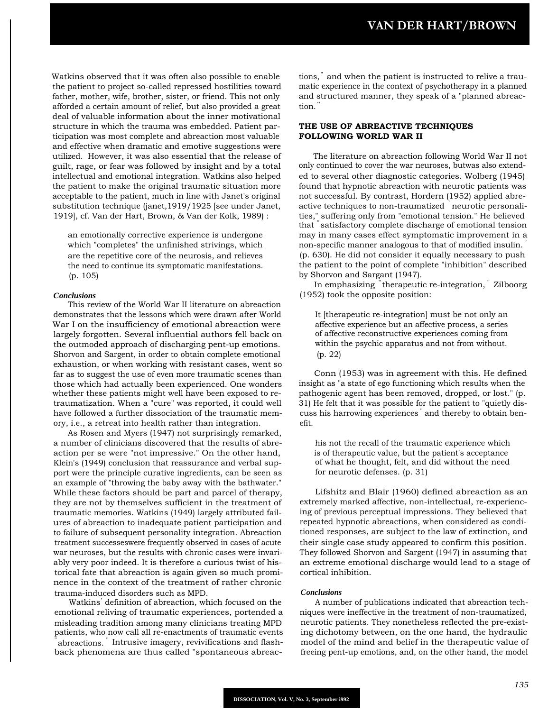Watkins observed that it was often also possible to enable the patient to project so-called repressed hostilities toward father, mother, wife, brother, sister, or friend. This not only afforded a certain amount of relief, but also provided a great deal of valuable information about the inner motivational structure in which the trauma was embedded. Patient participation was most complete and abreaction most valuable and effective when dramatic and emotive suggestions were utilized. However, it was also essential that the release of guilt, rage, or fear was followed by insight and by a total intellectual and emotional integration. Watkins also helped the patient to make the original traumatic situation more acceptable to the patient, much in line with Janet's original substitution technique (janet,1919/1925 [see under Janet, 1919], cf. Van der Hart, Brown, & Van der Kolk, 1989) :

an emotionally corrective experience is undergone which "completes" the unfinished strivings, which are the repetitive core of the neurosis, and relieves the need to continue its symptomatic manifestations. (p. 105)

#### *Conclusions*

This review of the World War II literature on abreaction demonstrates that the lessons which were drawn after World War I on the insufficiency of emotional abreaction were largely forgotten. Several influential authors fell back on the outmoded approach of discharging pent-up emotions. Shorvon and Sargent, in order to obtain complete emotional exhaustion, or when working with resistant cases, went so far as to suggest the use of even more traumatic scenes than those which had actually been experienced. One wonders whether these patients might well have been exposed to retraumatization. When a "cure" was reported, it could well have followed a further dissociation of the traumatic memory, i.e., a retreat into health rather than integration.

As Rosen and Myers (1947) not surprisingly remarked, a number of clinicians discovered that the results of abreaction per se were "not impressive." On the other hand, Klein's (1949) conclusion that reassurance and verbal support were the principle curative ingredients, can be seen as an example of "throwing the baby away with the bathwater." While these factors should be part and parcel of therapy, they are not by themselves sufficient in the treatment of traumatic memories. Watkins (1949) largely attributed failures of abreaction to inadequate patient participation and to failure of subsequent personality integration. Abreaction treatment successeswere frequently observed in cases of acute war neuroses, but the results with chronic cases were invariably very poor indeed. It is therefore a curious twist of historical fate that abreaction is again given so much prominence in the context of the treatment of rather chronic trauma-induced disorders such as MPD.

Watkins' definition of abreaction, which focused on the emotional reliving of traumatic experiences, portended a misleading tradition among many clinicians treating MPD patients, who now call all re-enactments of traumatic events " abreactions. " Intrusive imagery, revivifications and flashback phenomena are thus called "spontaneous abreac-

tions," and when the patient is instructed to relive a traumatic experience in the context of psychotherapy in a planned and structured manner, they speak of a "planned abreaction.

## **THE USE OF ABREACTIVE TECHNIQUES FOLLOWING WORLD WAR II**

The literature on abreaction following World War II not only continued to cover the war neuroses, butwas also extended to several other diagnostic categories. Wolberg (1945) found that hypnotic abreaction with neurotic patients was not successful. By contrast, Hordern (1952) applied abreactive techniques to non-traumatized " neurotic personalities," suffering only from "emotional tension." He believed that " satisfactory complete discharge of emotional tension may in many cases effect symptomatic improvement in a non-specific manner analogous to that of modified insulin. " (p. 630). He did not consider it equally necessary to push the patient to the point of complete "inhibition" described by Shorvon and Sargant (1947).

In emphasizing " therapeutic re-integration, " Zilboorg (1952) took the opposite position:

It [therapeutic re-integration] must be not only an affective experience but an affective process, a series of affective reconstructive experiences coming from within the psychic apparatus and not from without. (p. 22)

Conn (1953) was in agreement with this. He defined insight as "a state of ego functioning which results when the pathogenic agent has been removed, dropped, or lost." (p. 31) He felt that it was possible for the patient to "quietly discuss his harrowing experiences " and thereby to obtain benefit.

his not the recall of the traumatic experience which is of therapeutic value, but the patient's acceptance of what he thought, felt, and did without the need for neurotic defenses. (p. 31)

Lifshitz and Blair (1960) defined abreaction as an extremely marked affective, non-intellectual, re-experiencing of previous perceptual impressions. They believed that repeated hypnotic abreactions, when considered as conditioned responses, are subject to the law of extinction, and their single case study appeared to confirm this position. They followed Shorvon and Sargent (1947) in assuming that an extreme emotional discharge would lead to a stage of cortical inhibition.

#### *Conclusions*

A number of publications indicated that abreaction techniques were ineffective in the treatment of non-traumatized, neurotic patients. They nonetheless reflected the pre-existing dichotomy between, on the one hand, the hydraulic model of the mind and belief in the therapeutic value of freeing pent-up emotions, and, on the other hand, the model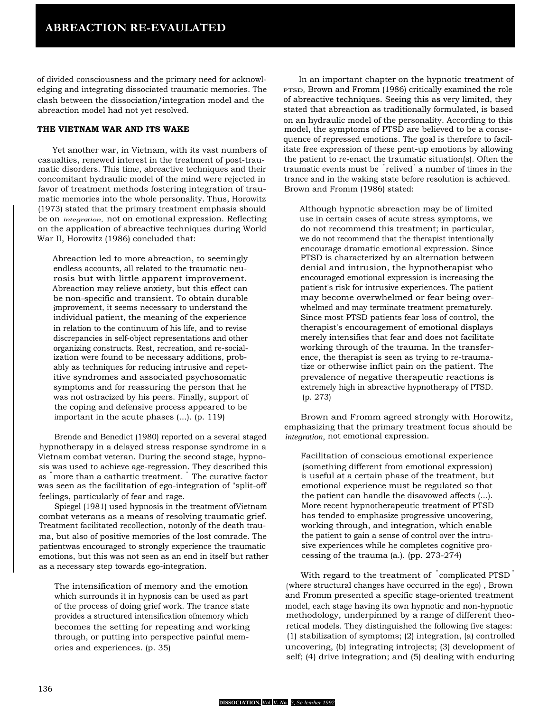of divided consciousness and the primary need for acknowledging and integrating dissociated traumatic memories. The clash between the dissociation/integration model and the abreaction model had not yet resolved.

# **THE VIETNAM WAR AND ITS WAKE**

Yet another war, in Vietnam, with its vast numbers of casualties, renewed interest in the treatment of post-traumatic disorders. This time, abreactive techniques and their concomitant hydraulic model of the mind were rejected in favor of treatment methods fostering integration of traumatic memories into the whole personality. Thus, Horowitz (1973) stated that the primary treatment emphasis should be on *integration,* not on emotional expression. Reflecting on the application of abreactive techniques during World War II, Horowitz (1986) concluded that:

Abreaction led to more abreaction, to seemingly endless accounts, all related to the traumatic neurosis but with little apparent improvement. Abreaction may relieve anxiety, but this effect can be non-specific and transient. To obtain durable improvement, it seems necessary to understand the individual patient, the meaning of the experience in relation to the continuum of his life, and to revise discrepancies in self-object representations and other organizing constructs. Rest, recreation, and re-socialization were found to be necessary additions, probably as techniques for reducing intrusive and repetitive syndromes and associated psychosomatic symptoms and for reassuring the person that he was not ostracized by his peers. Finally, support of the coping and defensive process appeared to be important in the acute phases (...). (p. 119)

Brende and Benedict (1980) reported on a several staged hypnotherapy in a delayed stress response syndrome in a Vietnam combat veteran. During the second stage, hypnosis was used to achieve age-regression. They described this as "more than a cathartic treatment. " The curative factor was seen as the facilitation of ego-integration of "split-off' feelings, particularly of fear and rage.

Spiegel (1981) used hypnosis in the treatment ofVietnam combat veterans as a means of resolving traumatic grief. Treatment facilitated recollection, notonly of the death trauma, but also of positive memories of the lost comrade. The patientwas encouraged to strongly experience the traumatic emotions, but this was not seen as an end in itself but rather as a necessary step towards ego-integration.

The intensification of memory and the emotion which surrounds it in hypnosis can be used as part of the process of doing grief work. The trance state provides a structured intensification ofmemory which becomes the setting for repeating and working through, or putting into perspective painful memories and experiences. (p. 35)

In an important chapter on the hypnotic treatment of PTSD, Brown and Fromm (1986) critically examined the role of abreactive techniques. Seeing this as very limited, they stated that abreaction as traditionally formulated, is based on an hydraulic model of the personality. According to this model, the symptoms of PTSD are believed to be a consequence of repressed emotions. The goal is therefore to facilitate free expression of these pent-up emotions by allowing the patient to re-enact the traumatic situation(s). Often the traumatic events must be " relived" a number of times in the trance and in the waking state before resolution is achieved. Brown and Fromm (1986) stated:

Although hypnotic abreaction may be of limited use in certain cases of acute stress symptoms, we do not recommend this treatment; in particular, we do not recommend that the therapist intentionally encourage dramatic emotional expression. Since PTSD is characterized by an alternation between denial and intrusion, the hypnotherapist who encouraged emotional expression is increasing the patient's risk for intrusive experiences. The patient may become overwhelmed or fear being overwhelmed and may terminate treatment prematurely. Since most PTSD patients fear loss of control, the therapist's encouragement of emotional displays merely intensifies that fear and does not facilitate working through of the trauma. In the transference, the therapist is seen as trying to re-traumatize or otherwise inflict pain on the patient. The prevalence of negative therapeutic reactions is extremely high in abreactive hypnotherapy of PTSD. (p. 273)

Brown and Fromm agreed strongly with Horowitz, emphasizing that the primary treatment focus should be *integration,* not emotional expression.

Facilitation of conscious emotional experience (something different from emotional expression) is useful at a certain phase of the treatment, but emotional experience must be regulated so that the patient can handle the disavowed affects (...). More recent hypnotherapeutic treatment of PTSD has tended to emphasize progressive uncovering, working through, and integration, which enable the patient to gain a sense of control over the intrusive experiences while he completes cognitive processing of the trauma (a.). (pp. 273-274)

With regard to the treatment of <sup>"</sup>complicated PTSD<sup>"</sup> (where structural changes have occurred in the ego) , Brown and Fromm presented a specific stage-oriented treatment model, each stage having its own hypnotic and non-hypnotic methodology, underpinned by a range of different theoretical models. They distinguished the following five stages: (1) stabilization of symptoms; (2) integration, (a) controlled uncovering, (b) integrating introjects; (3) development of self; (4) drive integration; and (5) dealing with enduring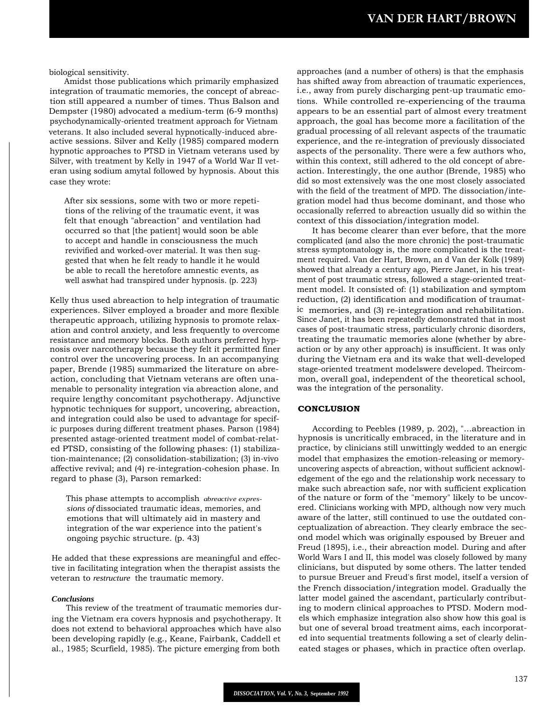biological sensitivity.

Amidst those publications which primarily emphasized integration of traumatic memories, the concept of abreaction still appeared a number of times. Thus Balson and Dempster (1980) advocated a medium-term (6-9 months) psychodynamically-oriented treatment approach for Vietnam veterans. It also included several hypnotically-induced abreactive sessions. Silver and Kelly (1985) compared modern hypnotic approaches to PTSD in Vietnam veterans used by Silver, with treatment by Kelly in 1947 of a World War II veteran using sodium amytal followed by hypnosis. About this case they wrote:

After six sessions, some with two or more repetitions of the reliving of the traumatic event, it was felt that enough "abreaction" and ventilation had occurred so that [the patient] would soon be able to accept and handle in consciousness the much revivified and worked-over material. It was then suggested that when he felt ready to handle it he would be able to recall the heretofore amnestic events, as well aswhat had transpired under hypnosis. (p. 223)

Kelly thus used abreaction to help integration of traumatic experiences. Silver employed a broader and more flexible therapeutic approach, utilizing hypnosis to promote relaxation and control anxiety, and less frequently to overcome resistance and memory blocks. Both authors preferred hypnosis over narcotherapy because they felt it permitted finer control over the uncovering process. In an accompanying paper, Brende (1985) summarized the literature on abreaction, concluding that Vietnam veterans are often unamenable to personality integration via abreaction alone, and require lengthy concomitant psychotherapy. Adjunctive hypnotic techniques for support, uncovering, abreaction, and integration could also be used to advantage for specific purposes during different treatment phases. Parson (1984) presented astage-oriented treatment model of combat-related PTSD, consisting of the following phases: (1) stabilization-maintenance; (2) consolidation-stabilization; (3) in-vivo affective revival; and (4) re-integration-cohesion phase. In regard to phase (3), Parson remarked:

This phase attempts to accomplish *abreactive expressions of*dissociated traumatic ideas, memories, and emotions that will ultimately aid in mastery and integration of the war experience into the patient's ongoing psychic structure. (p. 43)

He added that these expressions are meaningful and effective in facilitating integration when the therapist assists the veteran to *restructure* the traumatic memory.

#### *Conclusions*

This review of the treatment of traumatic memories during the Vietnam era covers hypnosis and psychotherapy. It does not extend to behavioral approaches which have also been developing rapidly (e.g., Keane, Fairbank, Caddell et al., 1985; Scurfield, 1985). The picture emerging from both

approaches (and a number of others) is that the emphasis has shifted away from abreaction of traumatic experiences, i.e., away from purely discharging pent-up traumatic emotions. While controlled re-experiencing of the trauma appears to be an essential part of almost every treatment approach, the goal has become more a facilitation of the gradual processing of all relevant aspects of the traumatic experience, and the re-integration of previously dissociated aspects of the personality. There were a few authors who, within this context, still adhered to the old concept of abreaction. Interestingly, the one author (Brende, 1985) who did so most extensively was the one most closely associated with the field of the treatment of MPD. The dissociation/integration model had thus become dominant, and those who occasionally referred to abreaction usually did so within the context of this dissociation/integration model.

It has become clearer than ever before, that the more complicated (and also the more chronic) the post-traumatic stress symptomatology is, the more complicated is the treatment required. Van der Hart, Brown, an d Van der Kolk (1989) showed that already a century ago, Pierre Janet, in his treatment of post traumatic stress, followed a stage-oriented treatment model. It consisted of: (1) stabilization and symptom reduction, (2) identification and modification of traumatic memories, and (3) re-integration and rehabilitation. Since Janet, it has been repeatedly demonstrated that in most cases of post-traumatic stress, particularly chronic disorders, treating the traumatic memories alone (whether by abreaction or by any other approach) is insufficient. It was only during the Vietnam era and its wake that well-developed stage-oriented treatment modelswere developed. Theircommon, overall goal, independent of the theoretical school, was the integration of the personality.

#### **CONCLUSION**

According to Peebles (1989, p. 202), "...abreaction in hypnosis is uncritically embraced, in the literature and in practice, by clinicians still unwittingly wedded to an energic model that emphasizes the emotion-releasing or memoryuncovering aspects of abreaction, without sufficient acknowledgement of the ego and the relationship work necessary to make such abreaction safe, nor with sufficient explication of the nature or form of the "memory" likely to be uncovered. Clinicians working with MPD, although now very much aware of the latter, still continued to use the outdated conceptualization of abreaction. They clearly embrace the second model which was originally espoused by Breuer and Freud (1895), i.e., their abreaction model. During and after World Wars I and II, this model was closely followed by many clinicians, but disputed by some others. The latter tended to pursue Breuer and Freud's first model, itself a version of the French dissociation/integration model. Gradually the latter model gained the ascendant, particularly contributing to modern clinical approaches to PTSD. Modern models which emphasize integration also show how this goal is but one of several broad treatment aims, each incorporated into sequential treatments following a set of clearly delineated stages or phases, which in practice often overlap.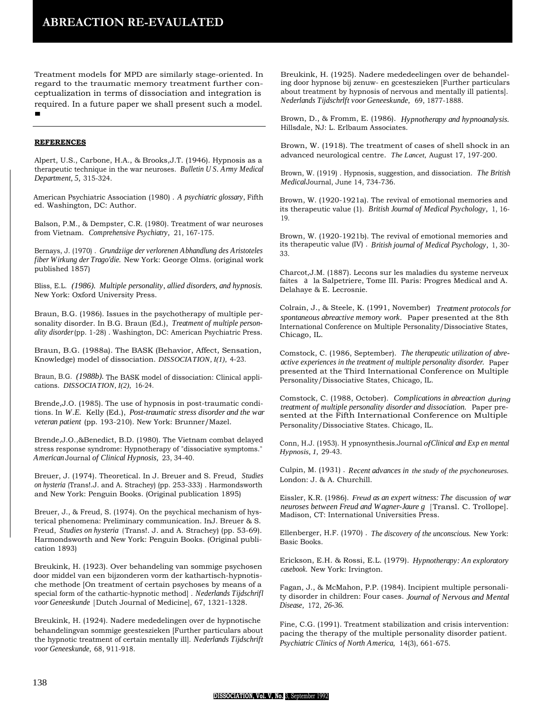Treatment models for MPD are similarly stage-oriented. In regard to the traumatic memory treatment further conceptualization in terms of dissociation and integration is required. In a future paper we shall present such a model. ■

#### **REFERENCES**

Alpert, U.S., Carbone, H.A., & Brooks,J.T. (1946). Hypnosis as a therapeutic technique in the war neuroses. *Bulletin U S. Army Medical Department, 5,* 315-324.

American Psychiatric Association (1980) . *A psychiatric glossary,* Fifth ed. Washington, DC: Author.

Balson, P.M., & Dempster, C.R. (1980). Treatment of war neuroses from Vietnam. *Comprehensive Psychiatry,* 21, 167-175.

Bernays, J. (1970) . *Grundziige der verlorenen Abhandlung des Aristoteles fiber Wirkung der Trago'die.* New York: George Olms. (original work published 1857)

Bliss, E.L. *(1986). Multiple personality, allied disorders, and hypnosis.* New York: Oxford University Press.

Braun, B.G. (1986). Issues in the psychotherapy of multiple personality disorder. In B.G. Braun (Ed.), *Treatment of multiple personality disorder*(pp. 1-28) . Washington, DC: American Psychiatric Press.

Braun, B.G. (1988a). The BASK (Behavior, Affect, Sensation, Knowledge) model of dissociation. *DISSOCIATION, I(1),* 4-23.

Braun, B.G. *(1988b).* The BASK model of dissociation: Clinical applications. *DISSOCIATION, I(2),* 16-24.

Brende,J.O. (1985). The use of hypnosis in post-traumatic conditions. In *W.E.* Kelly (Ed.), *Post-traumatic stress disorder and the war veteran patient* (pp. 193-210). New York: Brunner/Mazel.

Brende,J.O.,&Benedict, B.D. (1980). The Vietnam combat delayed stress response syndrome: Hypnotherapy of "dissociative symptoms." *American* Journal *of Clinical Hypnosis,* 23, 34-40.

Breuer, J. (1974). Theoretical. In J. Breuer and S. Freud, *Studies on hysteria* (Trans!.J. and A. Strachey) (pp. 253-333) . Harmondsworth and New York: Penguin Books. (Original publication 1895)

Breuer, J., & Freud, S. (1974). On the psychical mechanism of hysterical phenomena: Preliminary communication. InJ. Breuer & S. Freud, *Studies on hysteria* (Trans!. J. and A. Strachey) (pp. 53-69). Harmondsworth and New York: Penguin Books. (Original publication 1893)

Breukink, H. (1923). Over behandeling van sommige psychosen door middel van een bijzonderen vorm der kathartisch-hypnotische methode [On treatment of certain psychoses by means of a special form of the cathartic-hypnotic method] . *Nederlands Tijdschrifl voor Geneeskunde* [ Dutch Journal of Medicine], 67, 1321-1328.

Breukink, H. (1924). Nadere mededelingen over de hypnotische behandelingvan sommige geesteszieken [Further particulars about the hypnotic treatment of certain mentally ill]. *Nederlands Tijdschrift voor Geneeskunde,* 68, 911-918.

Breukink, H. (1925). Nadere mededeelingen over de behandeling door hypnose bij zenuw- en gcesteszieken [Further particulars about treatment by hypnosis of nervous and mentally ill patients]. *Nederlands Tijdschrlft voor Geneeskunde,* 69, 1877-1888.

Brown, D., & Fromm, E. (1986). *Hypnotherapy and hypnoanalysis.* Hillsdale, NJ: L. Erlbaum Associates.

Brown, W. (1918). The treatment of cases of shell shock in an advanced neurological centre. *The Lancet,* August 17, 197-200.

Brown, W. (1919) . Hypnosis, suggestion, and dissociation. *The British Medical*Journal, June 14, 734-736.

Brown, W. (1920-1921a). The revival of emotional memories and its therapeutic value (1). *British Journal of Medical Psychology,* 1, 16- 19.

Brown, W. (1920-1921b). The revival of emotional memories and its therapeutic value (IV) . *British journal of Medical Psychology,* 1, 30- 33.

Charcot,J.M. (1887). Lecons sur les maladies du systeme nerveux faites a la Salpetriere, Tome III. Paris: Progres Medical and A. Delahaye & E. Lecrosnie.

Colrain, J., & Steele, K. (1991, November) *Treatment protocols for spontaneous abreactive memory work.* Paper presented at the 8th International Conference on Multiple Personality/Dissociative States, Chicago, IL.

Comstock, C. (1986, September). *The therapeutic utilization of abreactive experiences in the treatment of multiple personality disorder.* Paper presented at the Third International Conference on Multiple Personality/Dissociative States, Chicago, IL.

Comstock, C. (1988, October). *Complications in abreaction during treatment of multiple personality disorder and dissociation.* Paper presented at the Fifth International Conference on Multiple Personality/Dissociative States. Chicago, IL.

Conn, H.J. (1953). H ypnosynthesis.Journal *ofClinical and Exp en mental Hypnosis, 1,* 29-43.

Culpin, M. (1931) . *Recent advances in the study of the psychoneuroses.* London: J. & A. Churchill.

Eissler, K.R. (1986). *Freud as an expert witness: The* discussion *of war neuroses between Freud and Wagner-Jaure g* [Transl. C. Trollope]. Madison, CT: International Universities Press.

Ellenberger, H.F. (1970) . *The discovery of the unconscious.* New York: Basic Books.

Erickson, E.H. & Rossi, E.L. (1979). *Hypnotherapy: An exploratory casebook.* New York: Irvington.

Fagan, J., & McMahon, P.P. (1984). Incipient multiple personality disorder in children: Four cases. *Journal of Nervous and Mental Disease,* 172, *26-36.*

Fine, C.G. (1991). Treatment stabilization and crisis intervention: pacing the therapy of the multiple personality disorder patient. *Psychiatric Clinics of North America,* 14(3), 661-675.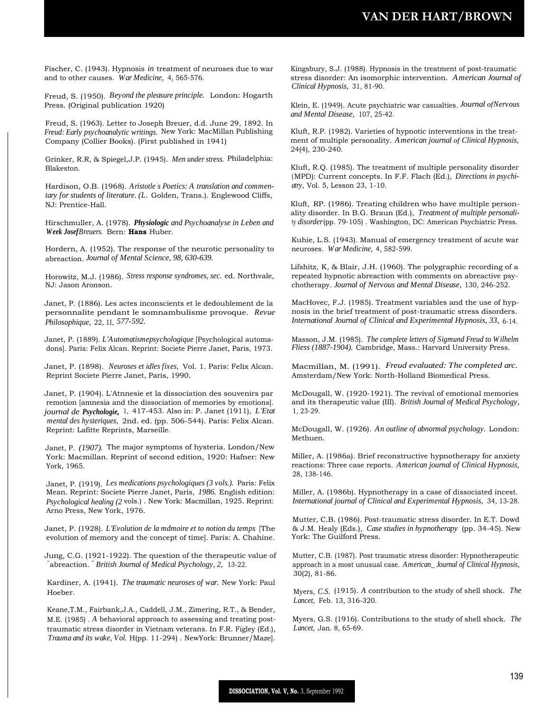Fischer, C. (1943). Hypnosis *in* treatment of neuroses due to war and to other causes. *War Medicine,* 4, 565-576.

Freud, S. (1950). *Beyond the pleasure principle.* London: Hogarth Press. (Original publication 1920)

Freud, S. (1963). Letter to Joseph Breuer, d.d. June 29, 1892. In *Freud: Early psychoanalytic writings.* New York: MacMillan Publishing Company (Collier Books). (First published in 1941)

Grinker, R.R, & Spiegel,J.P. (1945). *Men under stress.* Philadelphia: Blakeston.

Hardison, O.B. (1968). *Aristotle ' s Poetics: A translation and commentary for students of literature. (L.* Golden, Trans.). Englewood Cliffs, NJ: Prentice-Hall.

Hirschmuller, A. (1978). *Physiologic and Psychoanalyse in Leben and Week JosefBreuers.* Bern: **Hans** Huber.

Hordern, A. (1952). The response of the neurotic personality to abreaction. *Journal of Mental Science, 98, 630-639.*

Horowitz, M.J. (1986). *Stress response syndromes, sec.* ed. Northvale, NJ: Jason Aronson.

Janet, P. (1886). Les actes inconscients et le dedoublement de la personnalite pendant le somnambulisme provoque. *Revue Philosophique,* 22, 1I, *577-592.*

Janet, P. (1889). *L'Automatismepsychologique* [Psychological automadons]. Paris: Felix Alcan. Reprint: Societe Pierre Janet, Paris, 1973.

Janet, P. (1898). *Neuroses et idles fixes,* Vol. 1. Paris: Felix Alcan. Reprint Societe Pierre Janet, Paris, 1990.

Janet, P. (1904). L'Atnnesie et la dissociation des souvenirs par remotion [amnesia and the dissociation of memories by emotions]. *journal de Psychologie,* 1, 417-453. Also in: P. Janet (1911), *L'Etat mental des hysteriques,* 2nd. ed. (pp. 506-544). Paris: Felix Alcan. Reprint: Lafitte Reprints, Marseille.

Janet, P. *(1907).* The major symptoms of hysteria. London/New York: Macmillan. Reprint of second edition, 1920: Hafner: New York, 1965.

Janet, P. (1919). *Les medications psychologiques (3 vols.).* Paris: Felix Mean. Reprint: Societe Pierre Janet, Paris, *1986.* English edition: *Psychological healing (2* vols.) . New York: Macmillan, 1925. Reprint: Arno Press, New York, 1976.

Janet, P. (1928). *L'Evolution de la mdmoire et to notion du temps* [The evolution of memory and the concept of time]. Paris: A. Chahine.

Jung, C.G. (1921-1922). The question of the therapeutic value of " abreaction.*" British Journal of Medical Psychology, 2,* 13-22.

Kardiner, A. (1941). *The traumatic neuroses of war.* New York: Paul Hoeber.

Keane,T.M., Fairbank,J.A., Caddell, J.M., Zimering, R.T., & Bender, M.E. (1985) . *A* behavioral approach to assessing and treating posttraumatic stress disorder in Vietnam veterans. In F.R. Figley (Ed.), *Trauma and its wake, Vol.* H(pp. 11-294) . NewYork: Brunner/Maze].

Kingsbury, S.J. (1988). Hypnosis in the treatment of post-traumatic stress disorder: An isomorphic intervention. *American Journal of Clinical Hypnosis,* 31, 81-90.

Klein, E. (1949). Acute psychiatric war casualties. *Journal ofNervous and Mental Disease,* 107, 25-42.

Kluft, R.P. (1982). Varieties of hypnotic interventions in the treatment of multiple personality. *American journal of Clinical Hypnosis,* 24(4), 230-240.

Kluft, R.Q. (1985). The treatment of multiple personality disorder (MPD): Current concepts. In F.F. Flach (Ed.), *Directions in psychiatry,* Vol. 5, Lesson 23, 1-10.

Kluft, RP. (1986). Treating children who have multiple personality disorder. In B.G. Braun (Ed.), *Treatment of multiple personali*ty *disorder*(pp. 79-105) . Washington, DC: American Psychiatric Press.

Kuhie, L.S. (1943). Manual of emergency treatment of acute war neuroses. *War Medicine,* 4, 582-599.

Lifshitz, K, & Blair, J.H. (1960). The polygraphic recording of a repeated hypnotic abreaction with comments on abreactive psychotherapy. *Journal of Nervous and Mental Disease,* 130, 246-252.

MacHovec, F.J. (1985). Treatment variables and the use of hypnosis in the brief treatment of post-traumatic stress disorders. *International Journal of Clinical and Experimental Hypnosis, 33,* 6-14.

Masson, J.M. (1985). *The complete letters of Sigmund Freud to Wilhelm Fliess (1887-1904).* Cambridge, Mass.: Harvard University Press.

Macmillan, M. (1991). *Freud evaluated: The completed arc.* Amsterdam/New York: North-Holland Biomedical Press.

McDougall, W. (1920-1921). The revival of emotional memories and its therapeutic value (III). *British Journal of Medical Psychology,* 1, 23-29.

McDougall, W. (1926). *An outline of abnormal psychology.* London: Methuen.

Miller, A. (1986a). Brief reconstructive hypnotherapy for anxiety reactions: Three case reports. *American journal of Clinical Hypnosis,* 28, 138-146.

Miller, A. (1986b). Hypnotherapy in a case of dissociated incest. *International journal of Clinical and Experimental Hypnosis,* 34, 13-28.

Mutter, C.B. (1986). Post-traumatic stress disorder. In E.T. Dowd & J.M. Healy (Eds.), *Case studies in hypnotherapy* (pp. 34-45). New York: The Guilford Press.

Mutter, C.B. (1987). Post traumatic stress disorder: Hypnotherapeutic approach in a most unusual case. *American\_ Journal of Clinical Hypnosis,* 30(2), 81-86.

Myers, *C.S.* (1915). *A* contribution to the study of shell shock. *The Lancet,* Feb. 13, 316-320.

Myers, G.S. (1916). Contributions to the study of shell shock. *The Lancet,* Jan. 8, 65-69.